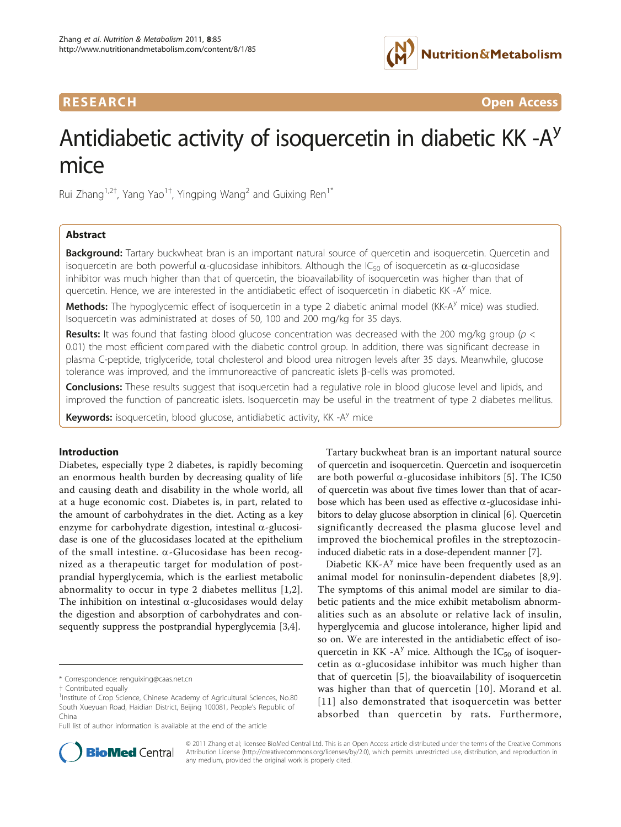

**RESEARCH CONSTRUCTED ACCESS CONSTRUCTER CONSTRUCTER CONSTRUCTER CONSTRUCTER** 

# Antidiabetic activity of isoquercetin in diabetic KK  $-A<sup>y</sup>$ mice

Rui Zhang<sup>1,2†</sup>, Yang Yao<sup>1†</sup>, Yingping Wang<sup>2</sup> and Guixing Ren<sup>1\*</sup>

# Abstract

**Background:** Tartary buckwheat bran is an important natural source of quercetin and isoquercetin. Quercetin and isoquercetin are both powerful  $\alpha$ -glucosidase inhibitors. Although the IC<sub>50</sub> of isoquercetin as  $\alpha$ -glucosidase inhibitor was much higher than that of quercetin, the bioavailability of isoquercetin was higher than that of quercetin. Hence, we are interested in the antidiabetic effect of isoquercetin in diabetic KK -A<sup>y</sup> mice.

Methods: The hypoglycemic effect of isoquercetin in a type 2 diabetic animal model (KK-A<sup>y</sup> mice) was studied. Isoquercetin was administrated at doses of 50, 100 and 200 mg/kg for 35 days.

**Results:** It was found that fasting blood glucose concentration was decreased with the 200 mg/kg group ( $p <$ 0.01) the most efficient compared with the diabetic control group. In addition, there was significant decrease in plasma C-peptide, triglyceride, total cholesterol and blood urea nitrogen levels after 35 days. Meanwhile, glucose tolerance was improved, and the immunoreactive of pancreatic islets  $\beta$ -cells was promoted.

Conclusions: These results suggest that isoquercetin had a regulative role in blood glucose level and lipids, and improved the function of pancreatic islets. Isoquercetin may be useful in the treatment of type 2 diabetes mellitus.

**Keywords:** isoquercetin, blood glucose, antidiabetic activity, KK  $-A<sup>y</sup>$  mice

#### Introduction

Diabetes, especially type 2 diabetes, is rapidly becoming an enormous health burden by decreasing quality of life and causing death and disability in the whole world, all at a huge economic cost. Diabetes is, in part, related to the amount of carbohydrates in the diet. Acting as a key enzyme for carbohydrate digestion, intestinal  $\alpha$ -glucosidase is one of the glucosidases located at the epithelium of the small intestine.  $\alpha$ -Glucosidase has been recognized as a therapeutic target for modulation of postprandial hyperglycemia, which is the earliest metabolic abnormality to occur in type 2 diabetes mellitus [\[1,2](#page-5-0)]. The inhibition on intestinal  $\alpha$ -glucosidases would delay the digestion and absorption of carbohydrates and consequently suppress the postprandial hyperglycemia [\[3,4\]](#page-5-0).

Full list of author information is available at the end of the article

Tartary buckwheat bran is an important natural source of quercetin and isoquercetin. Quercetin and isoquercetin are both powerful  $\alpha$ -glucosidase inhibitors [\[5](#page-5-0)]. The IC50 of quercetin was about five times lower than that of acarbose which has been used as effective  $\alpha$ -glucosidase inhibitors to delay glucose absorption in clinical [[6\]](#page-5-0). Quercetin significantly decreased the plasma glucose level and improved the biochemical profiles in the streptozocininduced diabetic rats in a dose-dependent manner [\[7\]](#page-5-0).

Diabetic  $KK-A<sup>y</sup>$  mice have been frequently used as an animal model for noninsulin-dependent diabetes [[8,9](#page-5-0)]. The symptoms of this animal model are similar to diabetic patients and the mice exhibit metabolism abnormalities such as an absolute or relative lack of insulin, hyperglycemia and glucose intolerance, higher lipid and so on. We are interested in the antidiabetic effect of isoquercetin in KK -A<sup>y</sup> mice. Although the  $IC_{50}$  of isoquercetin as  $\alpha$ -glucosidase inhibitor was much higher than that of quercetin [[5](#page-5-0)], the bioavailability of isoquercetin was higher than that of quercetin [\[10\]](#page-5-0). Morand et al. [[11\]](#page-5-0) also demonstrated that isoquercetin was better absorbed than quercetin by rats. Furthermore,



© 2011 Zhang et al; licensee BioMed Central Ltd. This is an Open Access article distributed under the terms of the Creative Commons Attribution License [\(http://creativecommons.org/licenses/by/2.0](http://creativecommons.org/licenses/by/2.0)), which permits unrestricted use, distribution, and reproduction in any medium, provided the original work is properly cited.

<sup>\*</sup> Correspondence: [renguixing@caas.net.cn](mailto:renguixing@caas.net.cn)

<sup>†</sup> Contributed equally <sup>1</sup>

<sup>&</sup>lt;sup>1</sup>Institute of Crop Science, Chinese Academy of Agricultural Sciences, No.80 South Xueyuan Road, Haidian District, Beijing 100081, People's Republic of China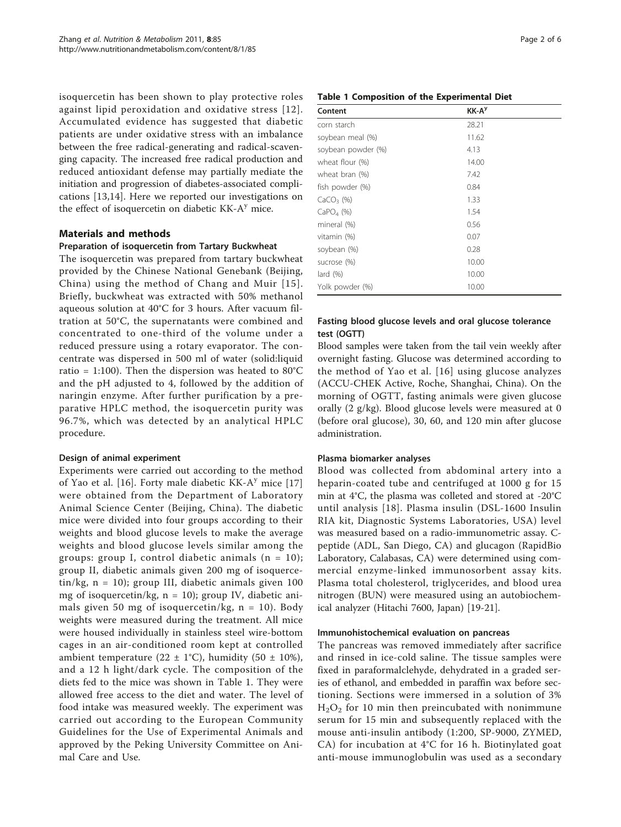isoquercetin has been shown to play protective roles against lipid peroxidation and oxidative stress [[12\]](#page-5-0). Accumulated evidence has suggested that diabetic patients are under oxidative stress with an imbalance between the free radical-generating and radical-scavenging capacity. The increased free radical production and reduced antioxidant defense may partially mediate the initiation and progression of diabetes-associated complications [[13,14](#page-5-0)]. Here we reported our investigations on the effect of isoquercetin on diabetic  $KK-A<sup>y</sup>$  mice.

### Materials and methods

#### Preparation of isoquercetin from Tartary Buckwheat

The isoquercetin was prepared from tartary buckwheat provided by the Chinese National Genebank (Beijing, China) using the method of Chang and Muir [[15\]](#page-5-0). Briefly, buckwheat was extracted with 50% methanol aqueous solution at 40°C for 3 hours. After vacuum filtration at 50°C, the supernatants were combined and concentrated to one-third of the volume under a reduced pressure using a rotary evaporator. The concentrate was dispersed in 500 ml of water (solid:liquid ratio = 1:100). Then the dispersion was heated to  $80^{\circ}$ C and the pH adjusted to 4, followed by the addition of naringin enzyme. After further purification by a preparative HPLC method, the isoquercetin purity was 96.7%, which was detected by an analytical HPLC procedure.

### Design of animal experiment

Experiments were carried out according to the method of Yao et al. [\[16](#page-5-0)]. Forty male diabetic  $KK-A<sup>y</sup>$  mice [\[17](#page-5-0)] were obtained from the Department of Laboratory Animal Science Center (Beijing, China). The diabetic mice were divided into four groups according to their weights and blood glucose levels to make the average weights and blood glucose levels similar among the groups: group I, control diabetic animals  $(n = 10)$ ; group II, diabetic animals given 200 mg of isoquercetin/kg,  $n = 10$ ); group III, diabetic animals given 100 mg of isoquercetin/kg,  $n = 10$ ); group IV, diabetic animals given 50 mg of isoquercetin/kg,  $n = 10$ ). Body weights were measured during the treatment. All mice were housed individually in stainless steel wire-bottom cages in an air-conditioned room kept at controlled ambient temperature (22  $\pm$  1°C), humidity (50  $\pm$  10%), and a 12 h light/dark cycle. The composition of the diets fed to the mice was shown in Table 1. They were allowed free access to the diet and water. The level of food intake was measured weekly. The experiment was carried out according to the European Community Guidelines for the Use of Experimental Animals and approved by the Peking University Committee on Animal Care and Use.

# Table 1 Composition of the Experimental Diet

| Content              | KK-A <sup>y</sup> |  |  |
|----------------------|-------------------|--|--|
| corn starch          | 28.21             |  |  |
| soybean meal (%)     | 11.62             |  |  |
| soybean powder (%)   | 4.13              |  |  |
| wheat flour (%)      | 14.00             |  |  |
| wheat bran (%)       | 7.42              |  |  |
| fish powder (%)      | 0.84              |  |  |
| $CaCO3$ (%)          | 1.33              |  |  |
| $CaPO4$ (%)          | 1.54              |  |  |
| mineral (%)          | 0.56              |  |  |
| vitamin (%)          | 0.07              |  |  |
| soybean (%)          | 0.28              |  |  |
| sucrose (%)          | 10.00             |  |  |
| $\text{land } (\% )$ | 10.00             |  |  |
| Yolk powder (%)      | 10.00             |  |  |

# Fasting blood glucose levels and oral glucose tolerance test (OGTT)

Blood samples were taken from the tail vein weekly after overnight fasting. Glucose was determined according to the method of Yao et al. [[16\]](#page-5-0) using glucose analyzes (ACCU-CHEK Active, Roche, Shanghai, China). On the morning of OGTT, fasting animals were given glucose orally (2 g/kg). Blood glucose levels were measured at 0 (before oral glucose), 30, 60, and 120 min after glucose administration.

#### Plasma biomarker analyses

Blood was collected from abdominal artery into a heparin-coated tube and centrifuged at 1000 g for 15 min at 4°C, the plasma was colleted and stored at -20°C until analysis [[18](#page-5-0)]. Plasma insulin (DSL-1600 Insulin RIA kit, Diagnostic Systems Laboratories, USA) level was measured based on a radio-immunometric assay. Cpeptide (ADL, San Diego, CA) and glucagon (RapidBio Laboratory, Calabasas, CA) were determined using commercial enzyme-linked immunosorbent assay kits. Plasma total cholesterol, triglycerides, and blood urea nitrogen (BUN) were measured using an autobiochemical analyzer (Hitachi 7600, Japan) [\[19](#page-5-0)-[21\]](#page-5-0).

#### Immunohistochemical evaluation on pancreas

The pancreas was removed immediately after sacrifice and rinsed in ice-cold saline. The tissue samples were fixed in paraformalclehyde, dehydrated in a graded series of ethanol, and embedded in paraffin wax before sectioning. Sections were immersed in a solution of 3%  $H<sub>2</sub>O<sub>2</sub>$  for 10 min then preincubated with nonimmune serum for 15 min and subsequently replaced with the mouse anti-insulin antibody (1:200, SP-9000, ZYMED, CA) for incubation at 4°C for 16 h. Biotinylated goat anti-mouse immunoglobulin was used as a secondary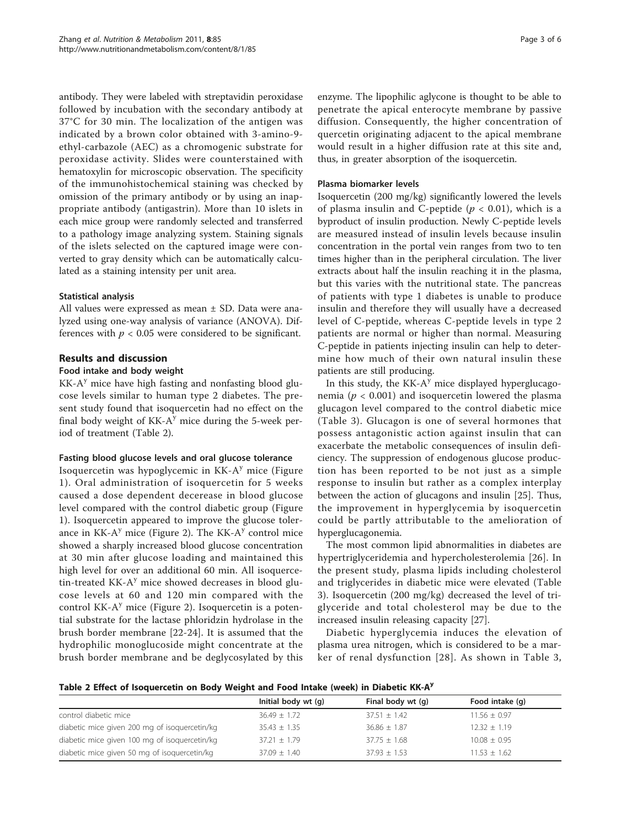antibody. They were labeled with streptavidin peroxidase followed by incubation with the secondary antibody at 37°C for 30 min. The localization of the antigen was indicated by a brown color obtained with 3-amino-9 ethyl-carbazole (AEC) as a chromogenic substrate for peroxidase activity. Slides were counterstained with hematoxylin for microscopic observation. The specificity of the immunohistochemical staining was checked by omission of the primary antibody or by using an inappropriate antibody (antigastrin). More than 10 islets in each mice group were randomly selected and transferred to a pathology image analyzing system. Staining signals of the islets selected on the captured image were converted to gray density which can be automatically calculated as a staining intensity per unit area.

### Statistical analysis

All values were expressed as mean ± SD. Data were analyzed using one-way analysis of variance (ANOVA). Differences with  $p < 0.05$  were considered to be significant.

#### Results and discussion

#### Food intake and body weight

 $KK-A<sup>y</sup>$  mice have high fasting and nonfasting blood glucose levels similar to human type 2 diabetes. The present study found that isoquercetin had no effect on the final body weight of  $KK-A<sup>y</sup>$  mice during the 5-week period of treatment (Table 2).

#### Fasting blood glucose levels and oral glucose tolerance

Isoquercetin was hypoglycemic in  $KK-A<sup>y</sup>$  mice (Figure [1](#page-3-0)). Oral administration of isoquercetin for 5 weeks caused a dose dependent decerease in blood glucose level compared with the control diabetic group (Figure [1\)](#page-3-0). Isoquercetin appeared to improve the glucose tolerance in  $KK-A<sup>y</sup>$  mice (Figure [2\)](#page-3-0). The  $KK-A<sup>y</sup>$  control mice showed a sharply increased blood glucose concentration at 30 min after glucose loading and maintained this high level for over an additional 60 min. All isoquercetin-treated KK- $A<sup>y</sup>$  mice showed decreases in blood glucose levels at 60 and 120 min compared with the control  $KK-A<sup>y</sup>$  mice (Figure [2\)](#page-3-0). Isoquercetin is a potential substrate for the lactase phloridzin hydrolase in the brush border membrane [[22-24\]](#page-5-0). It is assumed that the hydrophilic monoglucoside might concentrate at the brush border membrane and be deglycosylated by this

enzyme. The lipophilic aglycone is thought to be able to penetrate the apical enterocyte membrane by passive diffusion. Consequently, the higher concentration of quercetin originating adjacent to the apical membrane would result in a higher diffusion rate at this site and, thus, in greater absorption of the isoquercetin.

#### Plasma biomarker levels

Isoquercetin (200 mg/kg) significantly lowered the levels of plasma insulin and C-peptide ( $p < 0.01$ ), which is a byproduct of insulin production. Newly C-peptide levels are measured instead of insulin levels because insulin concentration in the portal vein ranges from two to ten times higher than in the peripheral circulation. The liver extracts about half the insulin reaching it in the plasma, but this varies with the nutritional state. The pancreas of patients with type 1 diabetes is unable to produce insulin and therefore they will usually have a decreased level of C-peptide, whereas C-peptide levels in type 2 patients are normal or higher than normal. Measuring C-peptide in patients injecting insulin can help to determine how much of their own natural insulin these patients are still producing.

In this study, the  $KK-A<sup>y</sup>$  mice displayed hyperglucagonemia ( $p < 0.001$ ) and isoquercetin lowered the plasma glucagon level compared to the control diabetic mice (Table [3\)](#page-4-0). Glucagon is one of several hormones that possess antagonistic action against insulin that can exacerbate the metabolic consequences of insulin deficiency. The suppression of endogenous glucose production has been reported to be not just as a simple response to insulin but rather as a complex interplay between the action of glucagons and insulin [[25](#page-5-0)]. Thus, the improvement in hyperglycemia by isoquercetin could be partly attributable to the amelioration of hyperglucagonemia.

The most common lipid abnormalities in diabetes are hypertriglyceridemia and hypercholesterolemia [[26\]](#page-5-0). In the present study, plasma lipids including cholesterol and triglycerides in diabetic mice were elevated (Table [3\)](#page-4-0). Isoquercetin (200 mg/kg) decreased the level of triglyceride and total cholesterol may be due to the increased insulin releasing capacity [[27\]](#page-5-0).

Diabetic hyperglycemia induces the elevation of plasma urea nitrogen, which is considered to be a marker of renal dysfunction [[28\]](#page-5-0). As shown in Table [3](#page-4-0),

Table 2 Effect of Isoquercetin on Body Weight and Food Intake (week) in Diabetic KK-A<sup>y</sup>

|                                               | Initial body wt (q) | Final body wt (q) | Food intake (q)  |  |  |  |
|-----------------------------------------------|---------------------|-------------------|------------------|--|--|--|
| control diabetic mice                         | $36.49 + 1.72$      | $37.51 \pm 1.42$  | $11.56 \pm 0.97$ |  |  |  |
| diabetic mice given 200 mg of isoquercetin/kg | $35.43 \pm 1.35$    | $36.86 \pm 1.87$  | $12.32 \pm 1.19$ |  |  |  |
| diabetic mice given 100 mg of isoquercetin/kg | $37.21 \pm 1.79$    | $37.75 \pm 1.68$  | $10.08 \pm 0.95$ |  |  |  |
| diabetic mice given 50 mg of isoguercetin/kg  | $37.09 \pm 1.40$    | $37.93 \pm 1.53$  | $11.53 \pm 1.62$ |  |  |  |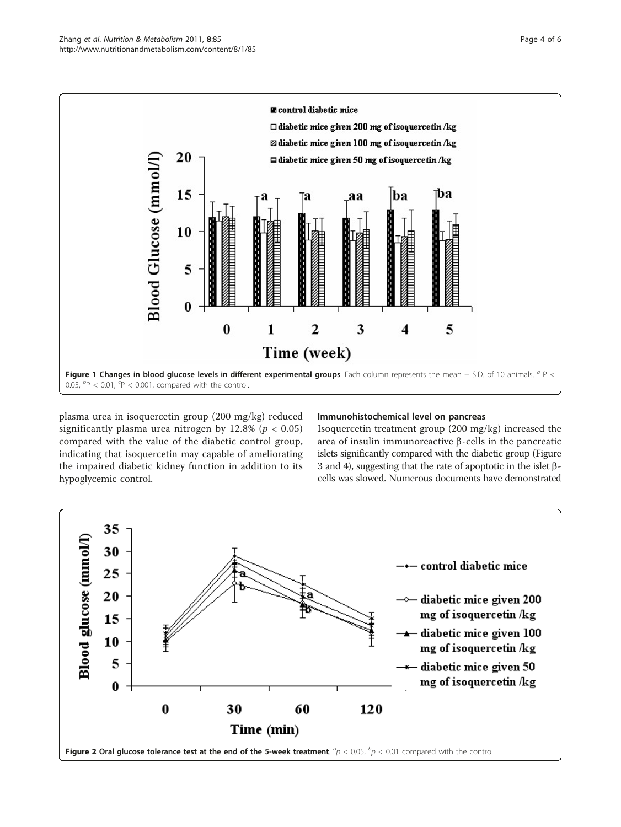<span id="page-3-0"></span>

plasma urea in isoquercetin group (200 mg/kg) reduced significantly plasma urea nitrogen by 12.8% ( $p < 0.05$ ) compared with the value of the diabetic control group, indicating that isoquercetin may capable of ameliorating the impaired diabetic kidney function in addition to its hypoglycemic control.

### Immunohistochemical level on pancreas

Isoquercetin treatment group (200 mg/kg) increased the area of insulin immunoreactive  $\beta$ -cells in the pancreatic islets significantly compared with the diabetic group (Figure [3](#page-4-0) and [4](#page-4-0)), suggesting that the rate of apoptotic in the islet  $\beta$ cells was slowed. Numerous documents have demonstrated

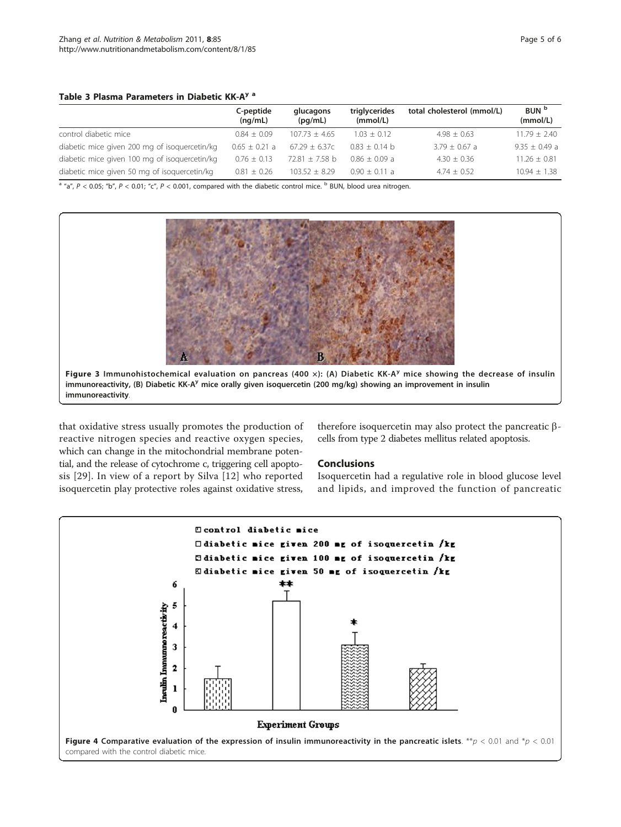#### <span id="page-4-0"></span>Table 3 Plasma Parameters in Diabetic KK-A<sup>y a</sup>

|                                               | C-peptide<br>(nq/mL) | glucagons<br>(pq/mL) | triglycerides<br>(mmol/L) | total cholesterol (mmol/L) | BUN <sup>b</sup><br>(mmol/L) |
|-----------------------------------------------|----------------------|----------------------|---------------------------|----------------------------|------------------------------|
| control diabetic mice                         | $0.84 + 0.09$        | $107.73 + 4.65$      | $1.03 + 0.12$             | $4.98 + 0.63$              | $11.79 + 2.40$               |
| diabetic mice given 200 mg of isoguercetin/kg | $0.65 \pm 0.21$ a    | $67.29 + 6.37c$      | $0.83 \pm 0.14$ b         | $3.79 + 0.67$ a            | $9.35 \pm 0.49$ a            |
| diabetic mice given 100 mg of isoguercetin/kg | $0.76 + 0.13$        | $72.81 + 7.58$ b     | $0.86 \pm 0.09$ a         | $4.30 + 0.36$              | $11.26 + 0.81$               |
| diabetic mice given 50 mg of isoguercetin/kg  | $0.81 + 0.26$        | $103.52 + 8.29$      | $0.90 + 0.11 a$           | $4.74 + 0.52$              | $10.94 + 1.38$               |

 $a''a''$ ,  $P < 0.05$ ; "b",  $P < 0.01$ ; "c",  $P < 0.001$ , compared with the diabetic control mice.  $b$  BUN, blood urea nitrogen.



Figure 3 Immunohistochemical evaluation on pancreas (400 x): (A) Diabetic KK-A<sup>y</sup> mice showing the decrease of insulin immunoreactivity, (B) Diabetic KK-A<sup>y</sup> mice orally given isoquercetin (200 mg/kg) showing an improvement in insulin immunoreactivity.

that oxidative stress usually promotes the production of reactive nitrogen species and reactive oxygen species, which can change in the mitochondrial membrane potential, and the release of cytochrome c, triggering cell apoptosis [[29](#page-5-0)]. In view of a report by Silva [\[12\]](#page-5-0) who reported isoquercetin play protective roles against oxidative stress,

# therefore isoquercetin may also protect the pancreatic  $\beta$ cells from type 2 diabetes mellitus related apoptosis.

# Conclusions

Isoquercetin had a regulative role in blood glucose level and lipids, and improved the function of pancreatic